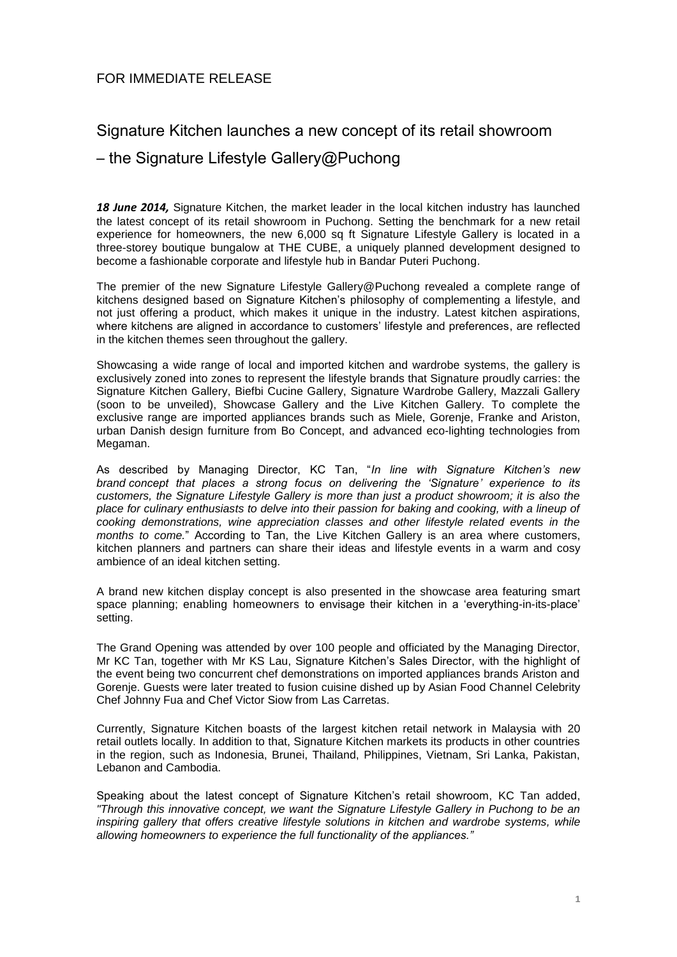## FOR IMMEDIATE RELEASE

## Signature Kitchen launches a new concept of its retail showroom

## – the Signature Lifestyle Gallery@Puchong

*18 June 2014,* Signature Kitchen, the market leader in the local kitchen industry has launched the latest concept of its retail showroom in Puchong. Setting the benchmark for a new retail experience for homeowners, the new 6,000 sq ft Signature Lifestyle Gallery is located in a three-storey boutique bungalow at THE CUBE, a uniquely planned development designed to become a fashionable corporate and lifestyle hub in Bandar Puteri Puchong.

The premier of the new Signature Lifestyle Gallery@Puchong revealed a complete range of kitchens designed based on Signature Kitchen's philosophy of complementing a lifestyle, and not just offering a product, which makes it unique in the industry. Latest kitchen aspirations, where kitchens are aligned in accordance to customers' lifestyle and preferences, are reflected in the kitchen themes seen throughout the gallery.

Showcasing a wide range of local and imported kitchen and wardrobe systems, the gallery is exclusively zoned into zones to represent the lifestyle brands that Signature proudly carries: the Signature Kitchen Gallery, Biefbi Cucine Gallery, Signature Wardrobe Gallery, Mazzali Gallery (soon to be unveiled), Showcase Gallery and the Live Kitchen Gallery. To complete the exclusive range are imported appliances brands such as Miele, Gorenje, Franke and Ariston, urban Danish design furniture from Bo Concept, and advanced eco-lighting technologies from Megaman.

As described by Managing Director, KC Tan, "*In line with Signature Kitchen's new brand concept that places a strong focus on delivering the 'Signature' experience to its customers, the Signature Lifestyle Gallery is more than just a product showroom; it is also the place for culinary enthusiasts to delve into their passion for baking and cooking, with a lineup of cooking demonstrations, wine appreciation classes and other lifestyle related events in the months to come.*" According to Tan, the Live Kitchen Gallery is an area where customers, kitchen planners and partners can share their ideas and lifestyle events in a warm and cosy ambience of an ideal kitchen setting.

A brand new kitchen display concept is also presented in the showcase area featuring smart space planning; enabling homeowners to envisage their kitchen in a 'everything-in-its-place' setting.

The Grand Opening was attended by over 100 people and officiated by the Managing Director, Mr KC Tan, together with Mr KS Lau, Signature Kitchen's Sales Director, with the highlight of the event being two concurrent chef demonstrations on imported appliances brands Ariston and Gorenje. Guests were later treated to fusion cuisine dished up by Asian Food Channel Celebrity Chef Johnny Fua and Chef Victor Siow from Las Carretas.

Currently, Signature Kitchen boasts of the largest kitchen retail network in Malaysia with 20 retail outlets locally. In addition to that, Signature Kitchen markets its products in other countries in the region, such as Indonesia, Brunei, Thailand, Philippines, Vietnam, Sri Lanka, Pakistan, Lebanon and Cambodia.

Speaking about the latest concept of Signature Kitchen's retail showroom, KC Tan added, *"Through this innovative concept, we want the Signature Lifestyle Gallery in Puchong to be an inspiring gallery that offers creative lifestyle solutions in kitchen and wardrobe systems, while allowing homeowners to experience the full functionality of the appliances."*